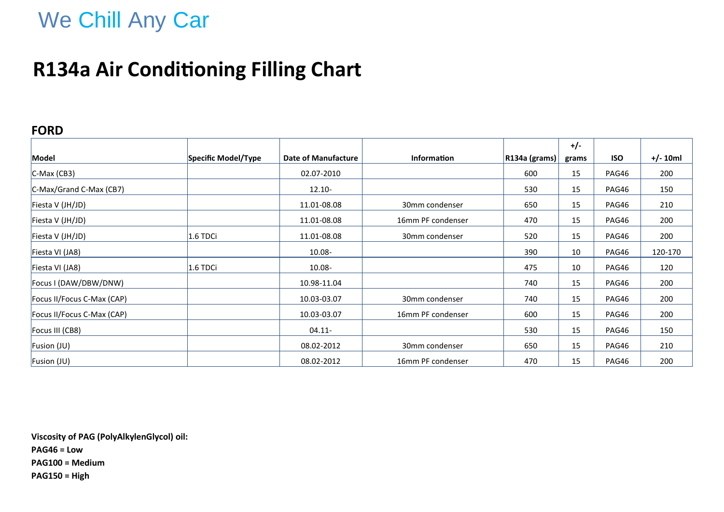# We Chill Any Car

### **R134a Air Conditioning Filling Chart**

#### **FORD**

|                            |                     |                     |                    |                  | $+/-$ |            |            |
|----------------------------|---------------------|---------------------|--------------------|------------------|-------|------------|------------|
| Model                      | Specific Model/Type | Date of Manufacture | <b>Information</b> | $ R134a$ (grams) | grams | <b>ISO</b> | $+/- 10ml$ |
| $ C-Max(CB3) $             |                     | 02.07-2010          |                    | 600              | 15    | PAG46      | 200        |
| C-Max/Grand C-Max (CB7)    |                     | $12.10 -$           |                    | 530              | 15    | PAG46      | 150        |
| Fiesta V (JH/JD)           |                     | 11.01-08.08         | 30mm condenser     | 650              | 15    | PAG46      | 210        |
| Fiesta V (JH/JD)           |                     | 11.01-08.08         | 16mm PF condenser  | 470              | 15    | PAG46      | 200        |
| Fiesta V (JH/JD)           | 1.6 TDCi            | 11.01-08.08         | 30mm condenser     | 520              | 15    | PAG46      | 200        |
| Fiesta VI (JA8)            |                     | 10.08-              |                    | 390              | 10    | PAG46      | 120-170    |
| Fiesta VI (JA8)            | $1.6$ TDCi          | 10.08-              |                    | 475              | 10    | PAG46      | 120        |
| Focus I (DAW/DBW/DNW)      |                     | 10.98-11.04         |                    | 740              | 15    | PAG46      | 200        |
| Focus II/Focus C-Max (CAP) |                     | 10.03-03.07         | 30mm condenser     | 740              | 15    | PAG46      | 200        |
| Focus II/Focus C-Max (CAP) |                     | 10.03-03.07         | 16mm PF condenser  | 600              | 15    | PAG46      | 200        |
| Focus III (CB8)            |                     | $04.11 -$           |                    | 530              | 15    | PAG46      | 150        |
| Fusion (JU)                |                     | 08.02-2012          | 30mm condenser     | 650              | 15    | PAG46      | 210        |
| Fusion (JU)                |                     | 08.02-2012          | 16mm PF condenser  | 470              | 15    | PAG46      | 200        |

**Viscosity of PAG (PolyAlkylenGlycol) oil: PAG46 = Low PAG100 = Medium PAG150 = High**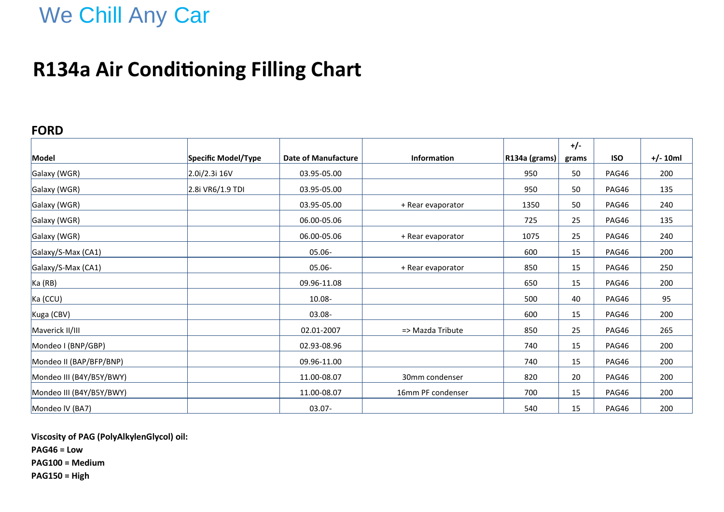## We Chill Any Car

### **R134a Air Conditioning Filling Chart**

#### **FORD**

|                          |                     |                            |                    |               | $+/-$ |            |            |
|--------------------------|---------------------|----------------------------|--------------------|---------------|-------|------------|------------|
| Model                    | Specific Model/Type | <b>Date of Manufacture</b> | <b>Information</b> | R134a (grams) | grams | <b>ISO</b> | $+/- 10ml$ |
| Galaxy (WGR)             | 2.0i/2.3i 16V       | 03.95-05.00                |                    | 950           | 50    | PAG46      | 200        |
| Galaxy (WGR)             | 2.8i VR6/1.9 TDI    | 03.95-05.00                |                    | 950           | 50    | PAG46      | 135        |
| Galaxy (WGR)             |                     | 03.95-05.00                | + Rear evaporator  | 1350          | 50    | PAG46      | 240        |
| Galaxy (WGR)             |                     | 06.00-05.06                |                    | 725           | 25    | PAG46      | 135        |
| Galaxy (WGR)             |                     | 06.00-05.06                | + Rear evaporator  | 1075          | 25    | PAG46      | 240        |
| Galaxy/S-Max (CA1)       |                     | 05.06-                     |                    | 600           | 15    | PAG46      | 200        |
| Galaxy/S-Max (CA1)       |                     | $05.06 -$                  | + Rear evaporator  | 850           | 15    | PAG46      | 250        |
| Ka(RB)                   |                     | 09.96-11.08                |                    | 650           | 15    | PAG46      | 200        |
| Ka (CCU)                 |                     | 10.08-                     |                    | 500           | 40    | PAG46      | 95         |
| Kuga (CBV)               |                     | 03.08-                     |                    | 600           | 15    | PAG46      | 200        |
| Maverick II/III          |                     | 02.01-2007                 | => Mazda Tribute   | 850           | 25    | PAG46      | 265        |
| Mondeo I (BNP/GBP)       |                     | 02.93-08.96                |                    | 740           | 15    | PAG46      | 200        |
| Mondeo II (BAP/BFP/BNP)  |                     | 09.96-11.00                |                    | 740           | 15    | PAG46      | 200        |
| Mondeo III (B4Y/B5Y/BWY) |                     | 11.00-08.07                | 30mm condenser     | 820           | 20    | PAG46      | 200        |
| Mondeo III (B4Y/B5Y/BWY) |                     | 11.00-08.07                | 16mm PF condenser  | 700           | 15    | PAG46      | 200        |
| Mondeo IV (BA7)          |                     | $03.07 -$                  |                    | 540           | 15    | PAG46      | 200        |

**Viscosity of PAG (PolyAlkylenGlycol) oil:**

**PAG46 = Low**

**PAG100 = Medium**

**PAG150 = High**